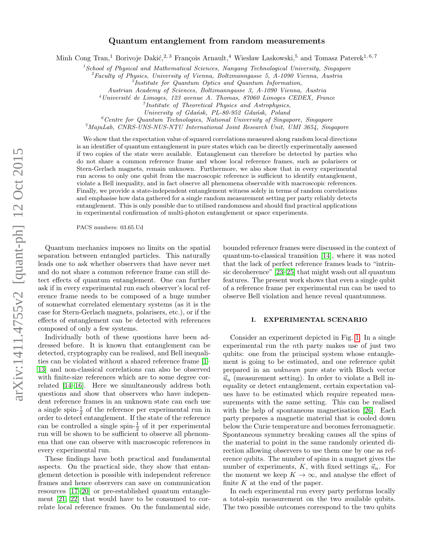## Quantum entanglement from random measurements

Minh Cong Tran,<sup>1</sup> Borivoje Dakić,<sup>2, 3</sup> François Arnault,<sup>4</sup> Wiesław Laskowski,<sup>5</sup> and Tomasz Paterek<sup>1,6,7</sup>

 $<sup>1</sup> School of Physical and Mathematical Sciences, Nanyang Technical University, Singapore$ </sup>

 ${}^{2}$ Faculty of Physics, University of Vienna, Boltzmanngasse 5, A-1090 Vienna, Austria

3 Institute for Quantum Optics and Quantum Information,

Austrian Academy of Sciences, Boltzmanngasse 3, A-1090 Vienna, Austria

 $4$ Université de Limoges, 123 avenue A. Thomas, 87060 Limoges CEDEX, France

- 5 Institute of Theoretical Physics and Astrophysics,
- University of Gdańsk, PL-80-952 Gdańsk, Poland

 ${}^6$ Centre for Quantum Technologies, National University of Singapore, Singapore

 $^7$ MajuLab, CNRS-UNS-NUS-NTU International Joint Research Unit, UMI 3654, Singapore

We show that the expectation value of squared correlations measured along random local directions is an identifier of quantum entanglement in pure states which can be directly experimentally assessed if two copies of the state were available. Entanglement can therefore be detected by parties who do not share a common reference frame and whose local reference frames, such as polarisers or Stern-Gerlach magnets, remain unknown. Furthermore, we also show that in every experimental run access to only one qubit from the macroscopic reference is sufficient to identify entanglement, violate a Bell inequality, and in fact observe all phenomena observable with macroscopic references. Finally, we provide a state-independent entanglement witness solely in terms of random correlations and emphasise how data gathered for a single random measurement setting per party reliably detects entanglement. This is only possible due to utilised randomness and should find practical applications in experimental confirmation of multi-photon entanglement or space experiments.

PACS numbers: 03.65.Ud

Quantum mechanics imposes no limits on the spatial separation between entangled particles. This naturally leads one to ask whether observers that have never met and do not share a common reference frame can still detect effects of quantum entanglement. One can further ask if in every experimental run each observer's local reference frame needs to be composed of a huge number of somewhat correlated elementary systems (as it is the case for Stern-Gerlach magnets, polarisers, etc.), or if the effects of entanglement can be detected with references composed of only a few systems.

Individually both of these questions have been addressed before. It is known that entanglement can be detected, cryptography can be realised, and Bell inequalities can be violated without a shared reference frame [\[1–](#page-5-0) [13\]](#page-6-0) and non-classical correlations can also be observed with finite-size references which are to some degree correlated [\[14–](#page-6-1)[16\]](#page-6-2). Here we simultaneously address both questions and show that observers who have independent reference frames in an unknown state can each use a single spin- $\frac{1}{2}$  of the reference per experimental run in order to detect entanglement. If the state of the reference can be controlled a single spin- $\frac{1}{2}$  of it per experimental run will be shown to be sufficient to observe all phenomena that one can observe with macroscopic references in every experimental run.

These findings have both practical and fundamental aspects. On the practical side, they show that entanglement detection is possible with independent reference frames and hence observers can save on communication resources [\[17–](#page-6-3)[20\]](#page-6-4) or pre-established quantum entanglement [\[21,](#page-6-5) [22\]](#page-6-6) that would have to be consumed to correlate local reference frames. On the fundamental side,

bounded reference frames were discussed in the context of quantum-to-classical transition [\[14\]](#page-6-1), where it was noted that the lack of perfect reference frames leads to "intrinsic decoherence" [\[23](#page-6-7)[–25\]](#page-6-8) that might wash out all quantum features. The present work shows that even a single qubit of a reference frame per experimental run can be used to observe Bell violation and hence reveal quantumness.

#### I. EXPERIMENTAL SCENARIO

Consider an experiment depicted in Fig. [1.](#page-1-0) In a single experimental run the nth party makes use of just two qubits: one from the principal system whose entanglement is going to be estimated, and one reference qubit prepared in an unknown pure state with Bloch vector  $\vec{u}_n$  (measurement setting). In order to violate a Bell inequality or detect entanglement, certain expectation values have to be estimated which require repeated measurements with the same setting. This can be realised with the help of spontaneous magnetisation [\[26\]](#page-6-9). Each party prepares a magnetic material that is cooled down below the Curie temperature and becomes ferromagnetic. Spontaneous symmetry breaking causes all the spins of the material to point in the same randomly oriented direction allowing observers to use them one by one as reference qubits. The number of spins in a magnet gives the number of experiments, K, with fixed settings  $\vec{u}_n$ . For the moment we keep  $K \to \infty$ , and analyse the effect of finite  $K$  at the end of the paper.

In each experimental run every party performs locally a total-spin measurement on the two available qubits. The two possible outcomes correspond to the two qubits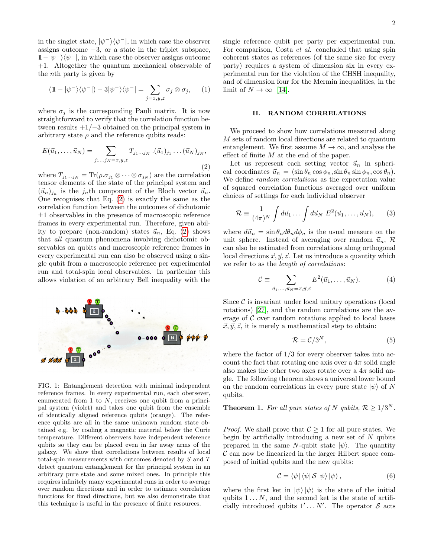in the singlet state,  $|\psi^{-}\rangle\langle\psi^{-}|$ , in which case the observer assigns outcome  $-3$ , or a state in the triplet subspace,  $1-\vert \psi^{-} \rangle \langle \psi^{-} \vert$ , in which case the observer assigns outcome +1. Altogether the quantum mechanical observable of the nth party is given by

$$
(\mathbb{1} - |\psi^{-}\rangle\langle\psi^{-}|) - 3|\psi^{-}\rangle\langle\psi^{-}| = \sum_{j=x,y,z} \sigma_{j} \otimes \sigma_{j}, \qquad (1)
$$

where  $\sigma_i$  is the corresponding Pauli matrix. It is now straightforward to verify that the correlation function between results  $+1/-3$  obtained on the principal system in arbitrary state  $\rho$  and the reference qubits reads:

<span id="page-1-1"></span>
$$
E(\vec{u}_1, \dots, \vec{u}_N) = \sum_{j_1 \dots j_N = x, y, z} T_{j_1 \dots j_N} \cdot (\vec{u}_1)_{j_1} \dots (\vec{u}_N)_{j_N},
$$
\n(2)

where  $T_{j_1...j_N} = \text{Tr}(\rho.\sigma_{j_1} \otimes \cdots \otimes \sigma_{j_N})$  are the correlation tensor elements of the state of the principal system and  $(\vec{u}_n)_{j_n}$  is the  $j_n$ <sup>th</sup> component of the Bloch vector  $\vec{u}_n$ . One recognises that Eq. [\(2\)](#page-1-1) is exactly the same as the correlation function between the outcomes of dichotomic  $\pm 1$  observables in the presence of macroscopic reference frames in every experimental run. Therefore, given ability to prepare (non-random) states  $\vec{u}_n$ , Eq. [\(2\)](#page-1-1) shows that all quantum phenomena involving dichotomic observables on qubits and macroscopic reference frames in every experimental run can also be observed using a single qubit from a macroscopic reference per experimental run and total-spin local observables. In particular this allows violation of an arbitrary Bell inequality with the



<span id="page-1-0"></span>FIG. 1: Entanglement detection with minimal independent reference frames. In every experimental run, each obersever, enumerated from  $1$  to  $N$ , receives one qubit from a principal system (violet) and takes one qubit from the ensemble of identically aligned reference qubits (orange). The reference qubits are all in the same unknown random state obtained e.g. by cooling a magnetic material below the Curie temperature. Different observers have independent reference qubits so they can be placed even in far away arms of the galaxy. We show that correlations between results of local total-spin measurements with outcomes denoted by S and T detect quantum entanglement for the principal system in an arbitrary pure state and some mixed ones. In principle this requires infinitely many experimental runs in order to average over random directions and in order to estimate correlation functions for fixed directions, but we also demonstrate that this technique is useful in the presence of finite resources.

single reference qubit per party per experimental run. For comparison, Costa et al. concluded that using spin coherent states as references (of the same size for every party) requires a system of dimension six in every experimental run for the violation of the CHSH inequality, and of dimension four for the Mermin inequalities, in the limit of  $N \to \infty$  [\[14\]](#page-6-1).

#### II. RANDOM CORRELATIONS

We proceed to show how correlations measured along M sets of random local directions are related to quantum entanglement. We first assume  $M \to \infty$ , and analyse the effect of finite M at the end of the paper.

Let us represent each setting vector  $\vec{u}_n$  in spherical coordinates  $\vec{u}_n = (\sin \theta_n \cos \phi_n, \sin \theta_n \sin \phi_n, \cos \theta_n).$ We define *random correlations* as the expectation value of squared correlation functions averaged over uniform choices of settings for each individual observer

$$
\mathcal{R} \equiv \frac{1}{(4\pi)^N} \int d\vec{u}_1 \dots \int d\vec{u}_N \ E^2(\vec{u}_1, \dots, \vec{u}_N), \qquad (3)
$$

where  $d\vec{u}_n = \sin \theta_n d\theta_n d\phi_n$  is the usual measure on the unit sphere. Instead of averaging over random  $\vec{u}_n, \mathcal{R}$ can also be estimated from correlations along orthogonal local directions  $\vec{x}, \vec{y}, \vec{z}$ . Let us introduce a quantity which we refer to as the length of correlations:

$$
\mathcal{C} \equiv \sum_{\vec{u}_1,\dots,\vec{u}_N=\vec{x},\vec{y},\vec{z}} E^2(\vec{u}_1,\dots,\vec{u}_N). \tag{4}
$$

Since  $\mathcal C$  is invariant under local unitary operations (local rotations) [\[27\]](#page-6-10), and the random correlations are the average of  $\mathcal C$  over random rotations applied to local bases  $\vec{x}, \vec{y}, \vec{z}$ , it is merely a mathematical step to obtain:

$$
\mathcal{R} = \mathcal{C}/3^N,\tag{5}
$$

where the factor of  $1/3$  for every observer takes into account the fact that rotating one axis over a  $4\pi$  solid angle also makes the other two axes rotate over a  $4\pi$  solid angle. The following theorem shows a universal lower bound on the random correlations in every pure state  $|\psi\rangle$  of N qubits.

# <span id="page-1-2"></span>**Theorem 1.** For all pure states of N qubits,  $\mathcal{R} \geq 1/3^N$ .

*Proof.* We shall prove that  $C > 1$  for all pure states. We begin by artificially introducing a new set of  $N$  qubits prepared in the same N-qubit state  $|\psi\rangle$ . The quantity  $\mathcal C$  can now be linearized in the larger Hilbert space composed of initial qubits and the new qubits:

$$
\mathcal{C} = \langle \psi | \langle \psi | \mathcal{S} | \psi \rangle | \psi \rangle, \tag{6}
$$

where the first ket in  $|\psi\rangle |\psi\rangle$  is the state of the initial qubits  $1 \dots N$ , and the second ket is the state of artificially introduced qubits  $1' \dots N'$ . The operator S acts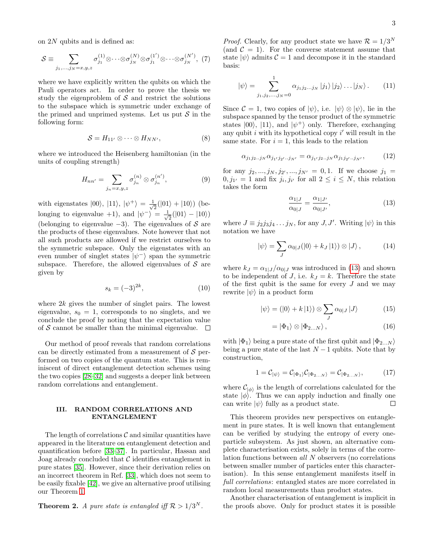on 2N qubits and is defined as:

$$
S \equiv \sum_{j_1,\ldots,j_N=x,y,z} \sigma_{j_1}^{(1)} \otimes \cdots \otimes \sigma_{j_N}^{(N)} \otimes \sigma_{j_1}^{(1')} \otimes \cdots \otimes \sigma_{j_N}^{(N')}, \tag{7}
$$

where we have explicitly written the qubits on which the Pauli operators act. In order to prove the thesis we study the eigenproblem of  $S$  and restrict the solutions to the subspace which is symmetric under exchange of the primed and unprimed systems. Let us put  $S$  in the following form:

$$
S = H_{11'} \otimes \cdots \otimes H_{NN'}, \qquad (8)
$$

where we introduced the Heisenberg hamiltonian (in the units of coupling strength)

$$
H_{nn'} = \sum_{j_n=x,y,z} \sigma_{j_n}^{(n)} \otimes \sigma_{j_n}^{(n')},\tag{9}
$$

with eigenstates  $|00\rangle$ ,  $|11\rangle$ ,  $|\psi^+\rangle = \frac{1}{\sqrt{2}}$  $\frac{1}{2}(|01\rangle + |10\rangle)$  (belonging to eigenvalue +1), and  $|\psi^{-}\rangle = \frac{1}{\sqrt{2}}$  $\frac{1}{2}(|01\rangle-|10\rangle)$ (belonging to eigenvalue  $-3$ ). The eigenvalues of S are the products of these eigenvalues. Note however that not all such products are allowed if we restrict ourselves to the symmetric subspace. Only the eigenstates with an even number of singlet states  $|\psi^-\rangle$  span the symmetric subspace. Therefore, the allowed eigenvalues of  $S$  are given by

$$
s_k = (-3)^{2k}, \t\t(10)
$$

where  $2k$  gives the number of singlet pairs. The lowest eigenvalue,  $s_0 = 1$ , corresponds to no singlets, and we conclude the proof by noting that the expectation value of S cannot be smaller than the minimal eigenvalue.  $\Box$ 

Our method of proof reveals that random correlations can be directly estimated from a measurement of  $S$  performed on two copies of the quantum state. This is reminiscent of direct entanglement detection schemes using the two copies [\[28–](#page-6-11)[32\]](#page-6-12) and suggests a deeper link between random correlations and entanglement.

### III. RANDOM CORRELATIONS AND ENTANGLEMENT

The length of correlations  $\mathcal C$  and similar quantities have appeared in the literature on entanglement detection and quantification before [\[33](#page-6-13)[–37\]](#page-6-14). In particular, Hassan and Joag already concluded that  $\mathcal C$  identifies entanglement in pure states [\[35\]](#page-6-15). However, since their derivation relies on an incorrect theorem in Ref. [\[33\]](#page-6-13), which does not seem to be easily fixable [\[42\]](#page-6-16), we give an alternative proof utilising our Theorem [1.](#page-1-2)

# **Theorem 2.** A pure state is entangled iff  $\mathcal{R} > 1/3^N$ .

*Proof.* Clearly, for any product state we have  $\mathcal{R} = 1/3^N$ (and  $\mathcal{C} = 1$ ). For the converse statement assume that state  $|\psi\rangle$  admits  $\mathcal{C} = 1$  and decompose it in the standard basis:

$$
|\psi\rangle = \sum_{j_1, j_2, \dots, j_N = 0}^{1} \alpha_{j_1 j_2 \dots j_N} |j_1\rangle |j_2\rangle \dots |j_N\rangle. \tag{11}
$$

Since  $\mathcal{C} = 1$ , two copies of  $|\psi\rangle$ , i.e.  $|\psi\rangle \otimes |\psi\rangle$ , lie in the subspace spanned by the tensor product of the symmetric states  $|00\rangle$ ,  $|11\rangle$ , and  $|\psi^+\rangle$  only. Therefore, exchanging any qubit  $i$  with its hypothetical copy  $i'$  will result in the same state. For  $i = 1$ , this leads to the relation

$$
\alpha_{j_1 j_2 \dots j_N} \alpha_{j_{1'} j_{2'} \dots j_{N'}} = \alpha_{j_{1'} j_2 \dots j_N} \alpha_{j_1 j_{2'} \dots j_{N'}}, \qquad (12)
$$

for any  $j_2, ..., j_N, j_{2'}, ..., j_{N'} = 0, 1$ . If we choose  $j_1 =$  $0, j_{1'} = 1$  and fix  $j_i, j_{i'}$  for all  $2 \leq i \leq N$ , this relation takes the form

<span id="page-2-0"></span>
$$
\frac{\alpha_{1|J}}{\alpha_{0|J}} = \frac{\alpha_{1|J'}}{\alpha_{0|J'}},\tag{13}
$$

where  $J \equiv j_2 j_3 j_4 \dots j_N$ , for any  $J, J'$ . Writing  $|\psi\rangle$  in this notation we have

$$
|\psi\rangle = \sum_{J} \alpha_{0|J} (|0\rangle + k_J |1\rangle) \otimes |J\rangle, \qquad (14)
$$

where  $k_J = \alpha_{1|J}/\alpha_{0|J}$  was introduced in [\(13\)](#page-2-0) and shown to be independent of J, i.e.  $k_J = k$ . Therefore the state of the first qubit is the same for every  $J$  and we may rewrite  $|\psi\rangle$  in a product form

$$
|\psi\rangle = (|0\rangle + k|1\rangle) \otimes \sum_{J} \alpha_{0|J} |J\rangle \tag{15}
$$

$$
= |\Phi_1\rangle \otimes |\Phi_{2...N}\rangle , \qquad (16)
$$

with  $|\Phi_1\rangle$  being a pure state of the first qubit and  $|\Phi_{2...N}\rangle$ being a pure state of the last  $N-1$  qubits. Note that by construction,

$$
1 = C_{|\psi\rangle} = C_{|\Phi_1\rangle} C_{|\Phi_{2...N}\rangle} = C_{|\Phi_{2...N}\rangle}, \tag{17}
$$

where  $\mathcal{C}_{|\phi\rangle}$  is the length of correlations calculated for the state  $|\phi\rangle$ . Thus we can apply induction and finally one can write  $|\psi\rangle$  fully as a product state.  $\Box$ 

This theorem provides new perspectives on entanglement in pure states. It is well known that entanglement can be verified by studying the entropy of every oneparticle subsystem. As just shown, an alternative complete characterisation exists, solely in terms of the correlation functions between all N observers (no correlations between smaller number of particles enter this characterisation). In this sense entanglement manifests itself in full correlations: entangled states are more correlated in random local measurements than product states.

Another characterisation of entanglement is implicit in the proofs above. Only for product states it is possible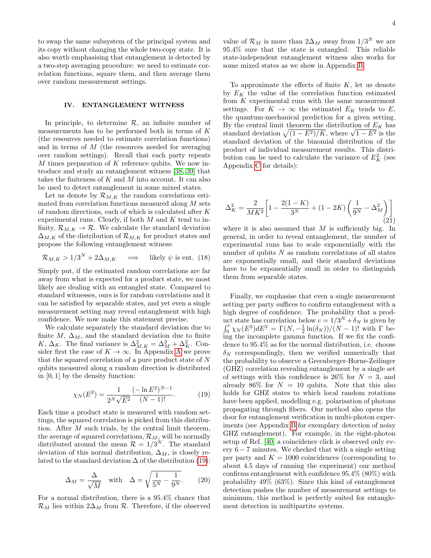to swap the same subsystem of the principal system and its copy without changing the whole two-copy state. It is also worth emphasising that entanglement is detected by a two-step averaging procedure: we need to estimate correlation functions, square them, and then average them over random measurement settings.

### IV. ENTANGLEMENT WITNESS

In principle, to determine  $R$ , an infinite number of measurements has to be performed both in terms of K (the resources needed to estimate correlation functions) and in terms of M (the resources needed for averaging over random settings). Recall that each party repeats  $M$  times preparation of  $K$  reference qubits. We now introduce and study an entanglement witness [\[38,](#page-6-17) [39\]](#page-6-18) that takes the finiteness of K and M into account. It can also be used to detect entanglement in some mixed states.

Let us denote by  $\mathcal{R}_{M,K}$  the random correlations estimated from correlation functions measured along M sets of random directions, each of which is calculated after K experimental runs. Clearly, if both  $M$  and  $K$  tend to infinity,  $\mathcal{R}_{M,K} \to \mathcal{R}$ . We calculate the standard deviation  $\Delta_{M,K}$  of the distribution of  $\mathcal{R}_{M,K}$  for product states and propose the following entanglement witness:

$$
\mathcal{R}_{M,K} > 1/3^N + 2\Delta_{M,K} \quad \Longrightarrow \quad \text{likely } \psi \text{ is ent. (18)}
$$

Simply put, if the estimated random correlations are far away from what is expected for a product state, we most likely are dealing with an entangled state. Compared to standard witnesses, ours is for random correlations and it can be satisfied by separable states, and yet even a single measurement setting may reveal entanglement with high confidence. We now make this statement precise.

We calculate separately the standard deviation due to finite  $M$ ,  $\Delta_M$ , and the standard deviation due to finite K,  $\Delta_K$ . The final variance is  $\Delta_{M,K}^2 = \Delta_M^2 + \Delta_K^2$ . Consider first the case of  $K \to \infty$ . In [A](#page-4-0)ppendix A we prove that the squared correlation of a pure product state of N qubits measured along a random direction is distributed in [0, 1] by the density function:

$$
\chi_N(E^2) = \frac{1}{2^N \sqrt{E^2}} \frac{(-\ln E^2)^{N-1}}{(N-1)!}.
$$
 (19)

Each time a product state is measured with random settings, the squared correlation is picked from this distribution. After  $M$  such trials, by the central limit theorem, the average of squared correlations,  $\mathcal{R}_M$ , will be normally distributed around the mean  $\mathcal{R} = 1/3^N$ . The standard deviation of this normal distribution,  $\Delta_M$ , is closely related to the standard deviation  $\Delta$  of the distribution [\(19\)](#page-3-0):

$$
\Delta_M = \frac{\Delta}{\sqrt{M}} \quad \text{with} \quad \Delta = \sqrt{\frac{1}{5^N} - \frac{1}{9^N}}. \tag{20}
$$

For a normal distribution, there is a 95.4% chance that  $\mathcal{R}_M$  lies within  $2\Delta_M$  from  $\mathcal{R}$ . Therefore, if the observed

value of  $\mathcal{R}_M$  is more than  $2\Delta_M$  away from  $1/3^N$  we are 95.4% sure that the state is entangled. This reliable state-independent entanglement witness also works for some mixed states as we show in Appendix [B.](#page-5-1)

To approximate the effects of finite  $K$ , let us denote by  $E_K$  the value of the correlation function estimated from  $K$  experimental runs with the same measurement settings. For  $K \to \infty$  the estimated  $E_K$  tends to E, the quantum-mechanical prediction for a given setting. By the central limit theorem the distribution of  $E_K$  has By the central limit theorem the distribution of  $E_K$  has<br>standard deviation  $\sqrt{(1 - E^2)/K}$ , where  $\sqrt{1 - E^2}$  is the standard deviation of the binomial distribution of the product of individual measurement results. This distribution can be used to calculate the variance of  $E_K^2$  (see Appendix [C](#page-5-2) for details):

$$
\Delta_K^2 = \frac{2}{MK^2} \left[ 1 - \frac{2(1-K)}{3^N} + (1 - 2K) \left( \frac{1}{9^N} - \Delta_M^2 \right) \right]
$$
\n(21)

where it is also assumed that  $M$  is sufficiently big. In general, in order to reveal entanglement, the number of experimental runs has to scale exponentially with the number of qubits  $N$  as random correlations of all states are exponentially small, and their standard deviations have to be exponentially small in order to distinguish them from separable states.

<span id="page-3-0"></span>Finally, we emphasise that even a single measurement setting per party suffices to confirm entanglement with a high degree of confidence. The probability that a product state has correlation below  $c = 1/3^N + \delta_N$  is given by  $\int_0^c \chi_N(E^2) dE^2 = \Gamma(N, -\frac{1}{2} \ln(\delta_N))/\(N-1)!$  with  $\Gamma$  being the incomplete gamma function. If we fix the confidence to 95.4% as for the normal distribution, i.e. choose  $\delta_N$  correspondingly, then we verified numerically that the probability to observe a Greenberger-Horne-Zeilinger (GHZ) correlation revealing entanglement by a single set of settings with this confidence is 26% for  $N = 3$ , and already 86% for  $N = 10$  qubits. Note that this also holds for GHZ states to which local random rotations have been applied, modelling e.g. polarisation of photons propagating through fibers. Our method also opens the door for entanglement verification in multi-photon experiments (see Appendix [B](#page-5-1) for exemplary detection of noisy GHZ entanglement). For example, in the eight-photon setup of Ref. [\[40\]](#page-6-19) a coincidence click is observed only every  $6 - 7$  minutes. We checked that with a single setting per party and  $K = 1000$  coincidences (corresponding to about 4.5 days of running the experiment) our method confirms entanglement with confidence 95.4% (80%) with probability 49% (63%). Since this kind of entanglement detection pushes the number of measurement settings to minimum, this method is perfectly suited for entanglement detection in multipartite systems.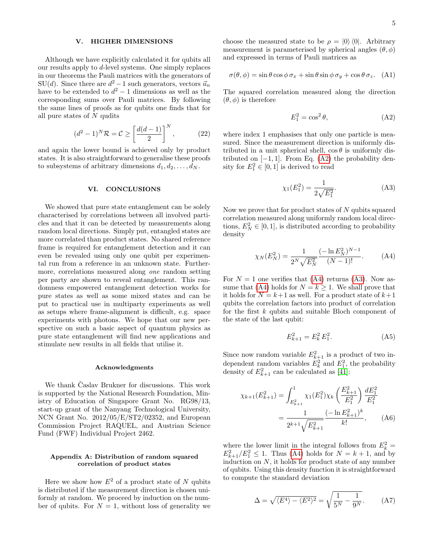## V. HIGHER DIMENSIONS

Although we have explicitly calculated it for qubits all our results apply to d-level systems. One simply replaces in our theorems the Pauli matrices with the generators of SU(d). Since there are  $d^2 - 1$  such generators, vectors  $\vec{u}_n$ have to be extended to  $d^2 - 1$  dimensions as well as the corresponding sums over Pauli matrices. By following the same lines of proofs as for qubits one finds that for all pure states of  $N$  qudits

$$
(d2 - 1)N \mathcal{R} = \mathcal{C} \ge \left[\frac{d(d-1)}{2}\right]^N, \tag{22}
$$

and again the lower bound is achieved only by product states. It is also straightforward to generalise these proofs to subsystems of arbitrary dimensions  $d_1, d_2, \ldots, d_N$ .

#### VI. CONCLUSIONS

We showed that pure state entanglement can be solely characterised by correlations between all involved particles and that it can be detected by measurements along random local directions. Simply put, entangled states are more correlated than product states. No shared reference frame is required for entanglement detection and it can even be revealed using only one qubit per experimental run from a reference in an unknown state. Furthermore, correlations measured along one random setting per party are shown to reveal entanglement. This randomness empowered entanglement detection works for pure states as well as some mixed states and can be put to practical use in multiparty experiments as well as setups where frame-alignment is difficult, e.g. space experiments with photons. We hope that our new perspective on such a basic aspect of quantum physics as pure state entanglement will find new applications and stimulate new results in all fields that utilise it.

#### Acknowledgments

We thank Caslav Brukner for discussions. This work is supported by the National Research Foundation, Ministry of Education of Singapore Grant No. RG98/13, start-up grant of the Nanyang Technological University, NCN Grant No. 2012/05/E/ST2/02352, and European Commission Project RAQUEL, and Austrian Science Fund (FWF) Individual Project 2462.

## <span id="page-4-0"></span>Appendix A: Distribution of random squared correlation of product states

Here we show how  $E^2$  of a product state of N qubits is distributed if the measurement direction is chosen uniformly at random. We proceed by induction on the number of qubits. For  $N = 1$ , without loss of generality we choose the measured state to be  $\rho = |0\rangle \langle 0|$ . Arbitrary measurement is parameterised by spherical angles  $(\theta, \phi)$ and expressed in terms of Pauli matrices as

$$
\sigma(\theta, \phi) = \sin \theta \cos \phi \sigma_x + \sin \theta \sin \phi \sigma_y + \cos \theta \sigma_z. \quad (A1)
$$

The squared correlation measured along the direction  $(\theta, \phi)$  is therefore

<span id="page-4-1"></span>
$$
E_1^2 = \cos^2 \theta,\tag{A2}
$$

where index 1 emphasises that only one particle is measured. Since the measurement direction is uniformly distributed in a unit spherical shell,  $\cos \theta$  is uniformly distributed on  $[-1, 1]$ . From Eq. [\(A2\)](#page-4-1) the probability density for  $E_1^2 \in [0,1]$  is derived to read

<span id="page-4-3"></span><span id="page-4-2"></span>
$$
\chi_1(E_1^2) = \frac{1}{2\sqrt{E_1^2}}.\tag{A3}
$$

Now we prove that for product states of N qubits squared correlation measured along uniformly random local directions,  $E_N^2 \in [0, 1]$ , is distributed according to probability density

$$
\chi_N(E_N^2) = \frac{1}{2^N \sqrt{E_N^2}} \frac{(-\ln E_N^2)^{N-1}}{(N-1)!}.
$$
 (A4)

For  $N = 1$  one verifies that [\(A4\)](#page-4-2) returns [\(A3\)](#page-4-3). Now as-sume that [\(A4\)](#page-4-2) holds for  $N = k \geq 1$ . We shall prove that it holds for  $N = k+1$  as well. For a product state of  $k+1$ qubits the correlation factors into product of correlation for the first k qubits and suitable Bloch component of the state of the last qubit:

$$
E_{k+1}^2 = E_k^2 E_1^2. \tag{A5}
$$

Since now random variable  $E_{k+1}^2$  is a product of two independent random variables  $E_k^2$  and  $E_1^2$ , the probability density of  $E_{k+1}^2$  can be calculated as [\[41\]](#page-6-20):

$$
\chi_{k+1}(E_{k+1}^2) = \int_{E_{k+1}^2}^{1} \chi_1(E_1^2) \chi_k\left(\frac{E_{k+1}^2}{E_1^2}\right) \frac{dE_1^2}{E_1^2}
$$

$$
= \frac{1}{2^{k+1} \sqrt{E_{k+1}^2}} \frac{(-\ln E_{k+1}^2)^k}{k!}, \qquad (A6)
$$

where the lower limit in the integral follows from  $E_k^2 =$  $E_{k+1}^2/E_1^2 \le 1$ . Thus [\(A4\)](#page-4-2) holds for  $N = k+1$ , and by induction on  $N$ , it holds for product state of any number of qubits. Using this density function it is straightforward to compute the standard deviation

<span id="page-4-4"></span>
$$
\Delta = \sqrt{\langle E^4 \rangle - \langle E^2 \rangle^2} = \sqrt{\frac{1}{5^N} - \frac{1}{9^N}}.
$$
 (A7)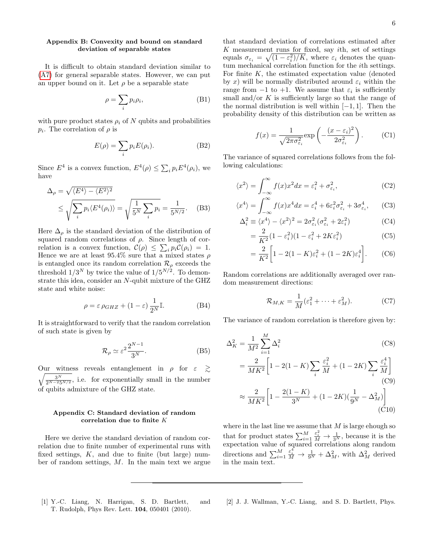## <span id="page-5-1"></span>Appendix B: Convexity and bound on standard deviation of separable states

It is difficult to obtain standard deviation similar to [\(A7\)](#page-4-4) for general separable states. However, we can put an upper bound on it. Let  $\rho$  be a separable state

$$
\rho = \sum_{i} p_i \rho_i, \tag{B1}
$$

with pure product states  $\rho_i$  of N qubits and probabilities  $p_i$ . The correlation of  $\rho$  is

$$
E(\rho) = \sum_{i} p_i E(\rho_i). \tag{B2}
$$

Since  $E^4$  is a convex function,  $E^4(\rho) \leq \sum_i p_i E^4(\rho_i)$ , we have

$$
\Delta_{\rho} = \sqrt{\langle E^4 \rangle - \langle E^2 \rangle^2}
$$
  

$$
\leq \sqrt{\sum_{i} p_i \langle E^4(\rho_i) \rangle} = \sqrt{\frac{1}{5^N} \sum_{i} p_i} = \frac{1}{5^{N/2}}.
$$
 (B3)

Here  $\Delta_{\rho}$  is the standard deviation of the distribution of squared random correlations of  $\rho$ . Since length of correlation is a convex function,  $\mathcal{C}(\rho) \leq \sum_i p_i \mathcal{C}(\rho_i) = 1$ . Hence we are at least 95.4% sure that a mixed states  $\rho$ is entangled once its random correlation  $\mathcal{R}_{\rho}$  exceeds the threshold  $1/3^N$  by twice the value of  $1/5^{N/2}$ . To demonstrate this idea, consider an N-qubit mixture of the GHZ state and white noise:

$$
\rho = \varepsilon \,\rho_{GHZ} + (1 - \varepsilon) \,\frac{1}{2^N} \mathbb{I}.\tag{B4}
$$

It is straightforward to verify that the random correlation of such state is given by

$$
\mathcal{R}_{\rho} \simeq \varepsilon^2 \frac{2^{N-1}}{3^N}.
$$
 (B5)

Our witness reveals entanglement in  $\rho$  for  $\varepsilon \geq$  $\sqrt{\frac{3^N}{2^{N-25N/2}}}$ , i.e. for exponentially small in the number of qubits admixture of the GHZ state.

## <span id="page-5-2"></span>Appendix C: Standard deviation of random correlation due to finite K

Here we derive the standard deviation of random correlation due to finite number of experimental runs with fixed settings,  $K$ , and due to finite (but large) number of random settings,  $M$ . In the main text we argue

that standard deviation of correlations estimated after  $K$  measurement runs for fixed, say *i*th, set of settings equals  $\sigma_{\varepsilon_i} = \sqrt{\left(1 - \varepsilon_i^2\right)/K}$ , where  $\varepsilon_i$  denotes the quantum mechanical correlation function for the ith settings. For finite  $K$ , the estimated expectation value (denoted by x) will be normally distributed around  $\varepsilon_i$  within the range from  $-1$  to  $+1$ . We assume that  $\varepsilon_i$  is sufficiently small and/or  $K$  is sufficiently large so that the range of the normal distribution is well within  $[-1, 1]$ . Then the probability density of this distribution can be written as

$$
f(x) = \frac{1}{\sqrt{2\pi\sigma_{\varepsilon_i}^2}} \exp\left(-\frac{(x-\varepsilon_i)^2}{2\sigma_{\varepsilon_i}^2}\right).
$$
 (C1)

The variance of squared correlations follows from the following calculations:

$$
\langle x^2 \rangle = \int_{-\infty}^{\infty} f(x)x^2 dx = \varepsilon_i^2 + \sigma_{\varepsilon_i}^2,
$$
 (C2)

$$
\langle x^4 \rangle = \int_{-\infty}^{\infty} f(x)x^4 dx = \varepsilon_i^4 + 6\varepsilon_i^2 \sigma_{\varepsilon_i}^2 + 3\sigma_{\varepsilon_i}^4, \qquad \text{(C3)}
$$

$$
\Delta_i^2 \equiv \langle x^4 \rangle - \langle x^2 \rangle^2 = 2\sigma_{\varepsilon_i}^2 (\sigma_{\varepsilon_i}^2 + 2\varepsilon_i^2)
$$
 (C4)

$$
=\frac{2}{K^2}(1-\varepsilon_i^2)(1-\varepsilon_i^2+2K\varepsilon_i^2)
$$
 (C5)

$$
= \frac{2}{K^2} \left[ 1 - 2(1 - K)\varepsilon_i^2 + (1 - 2K)\varepsilon_i^4 \right].
$$
 (C6)

Random correlations are additionally averaged over random measurement directions:

$$
\mathcal{R}_{M,K} = \frac{1}{M} (\varepsilon_1^2 + \dots + \varepsilon_M^2).
$$
 (C7)

The variance of random correlation is therefore given by:

$$
\Delta_K^2 = \frac{1}{M^2} \sum_{i=1}^M \Delta_i^2
$$
\n
$$
= \frac{2}{MK^2} \left[ 1 - 2(1 - K) \sum_i \frac{\varepsilon_i^2}{M} + (1 - 2K) \sum_i \frac{\varepsilon_i^4}{M} \right]
$$
\n(C9)\n
$$
\approx \frac{2}{MK^2} \left[ 1 - \frac{2(1 - K)}{3^N} + (1 - 2K)(\frac{1}{9^N} - \Delta_M^2) \right]
$$
\n(C10)

where in the last line we assume that  $M$  is large ehough so that for product states  $\sum_{i=1}^{M}$  $\frac{\varepsilon_i^2}{M} \to \frac{1}{3^N}$ , because it is the expectation value of squared correlations along random directions and  $\sum_{i=1}^{M}$  $\frac{\varepsilon_i^4}{M} \to \frac{1}{9^N} + \Delta_M^2$ , with  $\Delta_M^2$  derived in the main text.

<span id="page-5-0"></span>[1] Y.-C. Liang, N. Harrigan, S. D. Bartlett, and T. Rudolph, Phys Rev. Lett. 104, 050401 (2010).

[2] J. J. Wallman, Y.-C. Liang, and S. D. Bartlett, Phys.